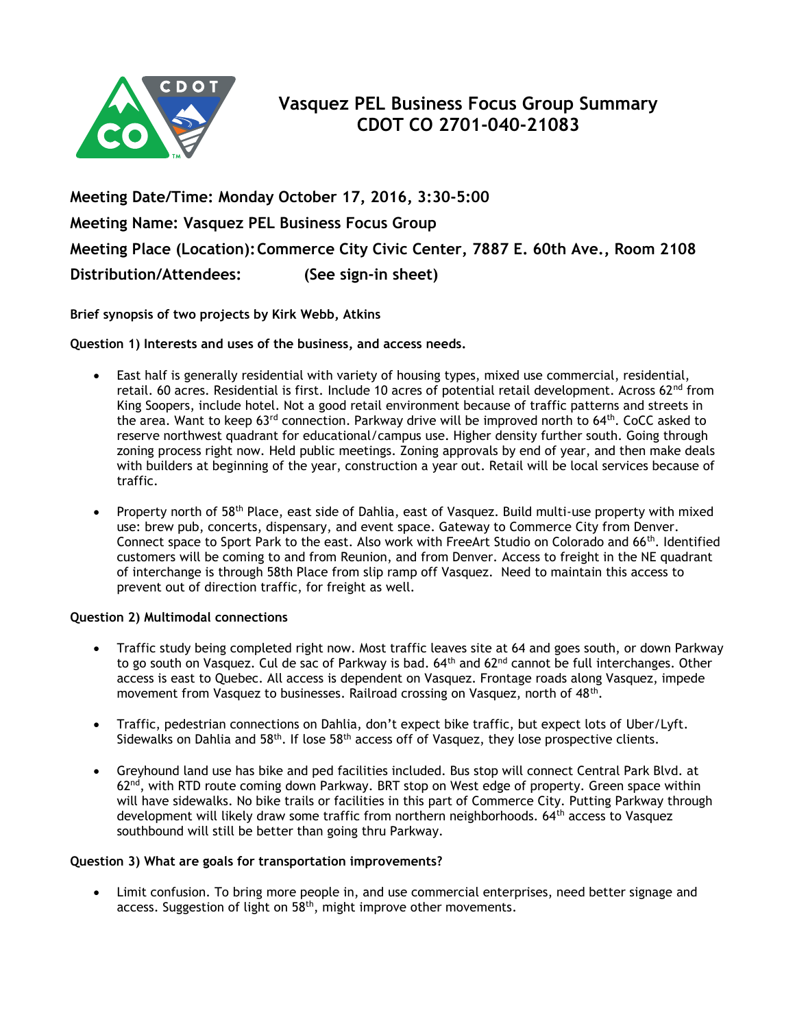

**Meeting Date/Time: Monday October 17, 2016, 3:30-5:00 Meeting Name: Vasquez PEL Business Focus Group Meeting Place (Location):Commerce City Civic Center, 7887 E. 60th Ave., Room 2108 Distribution/Attendees: (See sign-in sheet)**

**Brief synopsis of two projects by Kirk Webb, Atkins**

**Question 1) Interests and uses of the business, and access needs.**

- East half is generally residential with variety of housing types, mixed use commercial, residential, retail. 60 acres. Residential is first. Include 10 acres of potential retail development. Across 62<sup>nd</sup> from King Soopers, include hotel. Not a good retail environment because of traffic patterns and streets in the area. Want to keep 63<sup>rd</sup> connection. Parkway drive will be improved north to 64<sup>th</sup>. CoCC asked to reserve northwest quadrant for educational/campus use. Higher density further south. Going through zoning process right now. Held public meetings. Zoning approvals by end of year, and then make deals with builders at beginning of the year, construction a year out. Retail will be local services because of traffic.
- Property north of 58<sup>th</sup> Place, east side of Dahlia, east of Vasquez. Build multi-use property with mixed use: brew pub, concerts, dispensary, and event space. Gateway to Commerce City from Denver. Connect space to Sport Park to the east. Also work with FreeArt Studio on Colorado and 66<sup>th</sup>. Identified customers will be coming to and from Reunion, and from Denver. Access to freight in the NE quadrant of interchange is through 58th Place from slip ramp off Vasquez. Need to maintain this access to prevent out of direction traffic, for freight as well.

## **Question 2) Multimodal connections**

- Traffic study being completed right now. Most traffic leaves site at 64 and goes south, or down Parkway to go south on Vasquez. Cul de sac of Parkway is bad. 64<sup>th</sup> and 62<sup>nd</sup> cannot be full interchanges. Other access is east to Quebec. All access is dependent on Vasquez. Frontage roads along Vasquez, impede movement from Vasquez to businesses. Railroad crossing on Vasquez, north of 48<sup>th</sup>.
- Traffic, pedestrian connections on Dahlia, don't expect bike traffic, but expect lots of Uber/Lyft. Sidewalks on Dahlia and 58<sup>th</sup>. If lose 58<sup>th</sup> access off of Vasquez, they lose prospective clients.
- Greyhound land use has bike and ped facilities included. Bus stop will connect Central Park Blvd. at  $62<sup>nd</sup>$ , with RTD route coming down Parkway. BRT stop on West edge of property. Green space within will have sidewalks. No bike trails or facilities in this part of Commerce City. Putting Parkway through development will likely draw some traffic from northern neighborhoods. 64<sup>th</sup> access to Vasquez southbound will still be better than going thru Parkway.

## **Question 3) What are goals for transportation improvements?**

 Limit confusion. To bring more people in, and use commercial enterprises, need better signage and access. Suggestion of light on 58<sup>th</sup>, might improve other movements.